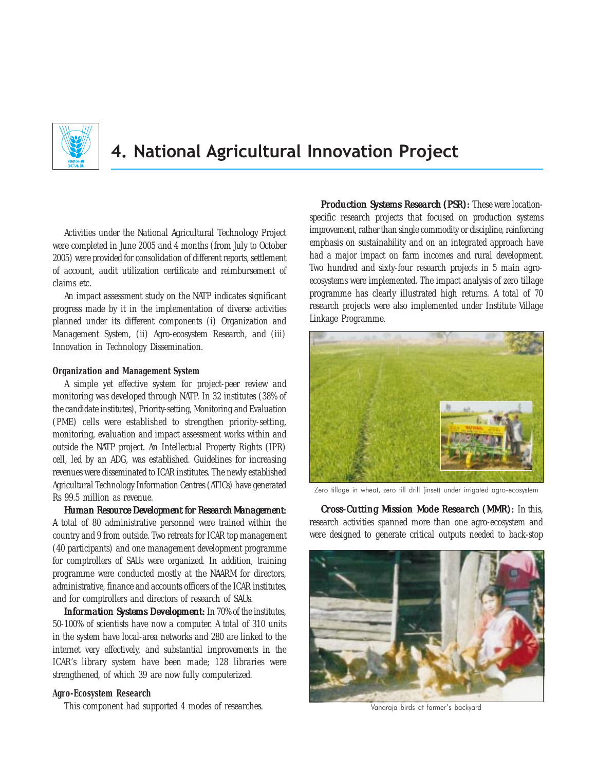

# 4. National Agricultural Innovation Project

Activities under the National Agricultural Technology Project were completed in June 2005 and 4 months (from July to October 2005) were provided for consolidation of different reports, settlement of account, audit utilization certificate and reimbursement of claims etc.

An impact assessment study on the NATP indicates significant progress made by it in the implementation of diverse activities planned under its different components (i) Organization and Management System, (ii) Agro-ecosystem Research, and (iii) Innovation in Technology Dissemination.

# **Organization and Management System**

A simple yet effective system for project-peer review and monitoring was developed through NATP. In 32 institutes (38% of the candidate institutes), Priority-setting, Monitoring and Evaluation (PME) cells were established to strengthen priority-setting, monitoring, evaluation and impact assessment works within and outside the NATP project. An Intellectual Property Rights (IPR) cell, led by an ADG, was established. Guidelines for increasing revenues were disseminated to ICAR institutes. The newly established Agricultural Technology Information Centres (ATICs) have generated Rs 99.5 million as revenue.

*Human Resource Development for Research Management: Human Resource Research*  A total of 80 administrative personnel were trained within the country and 9 from outside. Two retreats for ICAR top management (40 participants) and one management development programme for comptrollers of SAUs were organized. In addition, training programme were conducted mostly at the NAARM for directors, administrative, finance and accounts officers of the ICAR institutes, and for comptrollers and directors of research of SAUs.

**Information Systems Development:** In 70% of the institutes, 50-100% of scientists have now a computer. A total of 310 units in the system have local-area networks and 280 are linked to the internet very effectively, and substantial improvements in the ICAR's library system have been made; 128 libraries were strengthened, of which 39 are now fully computerized.

#### **Agro-Ecosystem Research**

This component had supported 4 modes of researches.

*Production Systems Research (PSR):* These were locationspecific research projects that focused on production systems improvement, rather than single commodity or discipline, reinforcing emphasis on sustainability and on an integrated approach have had a major impact on farm incomes and rural development. Two hundred and sixty-four research projects in 5 main agroecosystems were implemented. The impact analysis of zero tillage programme has clearly illustrated high returns. A total of 70 research projects were also implemented under Institute Village Linkage Programme.



Zero tillage in wheat, zero till drill (inset) under irrigated agro-ecosystem

*Cross-Cutting Mission Mode Research (MMR):* In this, research activities spanned more than one agro-ecosystem and were designed to generate critical outputs needed to back-stop



Vanaraja birds at farmer's backyard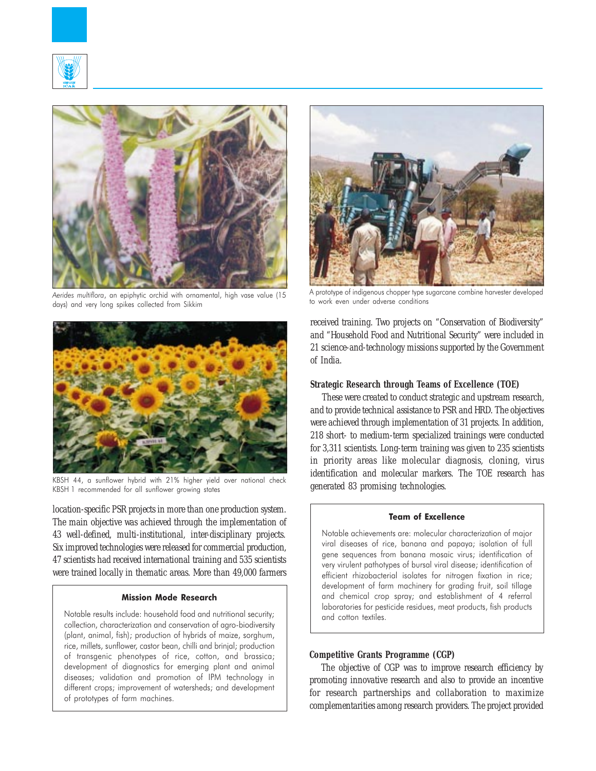



Aerides multiflora, an epiphytic orchid with ornamental, high vase value (15 days) and very long spikes collected from Sikkim



KBSH 44, a sunflower hybrid with 21% higher yield over national check KBSH 1 recommended for all sunflower growing states

location-specific PSR projects in more than one production system. The main objective was achieved through the implementation of 43 well-defined, multi-institutional, inter-disciplinary projects. Six improved technologies were released for commercial production, 47 scientists had received international training and 535 scientists were trained locally in thematic areas. More than 49,000 farmers

## Mission Mode Research

Notable results include: household food and nutritional security; collection, characterization and conservation of agro-biodiversity (plant, animal, fish); production of hybrids of maize, sorghum, rice, millets, sunflower, castor bean, chilli and brinjal; production of transgenic phenotypes of rice, cotton, and brassica; development of diagnostics for emerging plant and animal diseases; validation and promotion of IPM technology in different crops; improvement of watersheds; and development of prototypes of farm machines.



A prototype of indigenous chopper type sugarcane combine harvester developed to work even under adverse conditions

received training. Two projects on "Conservation of Biodiversity" and "Household Food and Nutritional Security" were included in 21 science-and-technology missions supported by the Government of India.

### **Strategic Research through Teams of Excellence (TOE)**

These were created to conduct strategic and upstream research, and to provide technical assistance to PSR and HRD. The objectives were achieved through implementation of 31 projects. In addition, 218 short- to medium-term specialized trainings were conducted for 3,311 scientists. Long-term training was given to 235 scientists in priority areas like molecular diagnosis, cloning, virus identification and molecular markers. The TOE research has generated 83 promising technologies.

#### Team of Excellence

Notable achievements are: molecular characterization of major viral diseases of rice, banana and papaya; isolation of full gene sequences from banana mosaic virus; identification of very virulent pathotypes of bursal viral disease; identification of efficient rhizobacterial isolates for nitrogen fixation in rice; development of farm machinery for grading fruit, soil tillage and chemical crop spray; and establishment of 4 referral laboratories for pesticide residues, meat products, fish products and cotton textiles.

# **Competitive Grants Programme (CGP)**

The objective of CGP was to improve research efficiency by promoting innovative research and also to provide an incentive for research partnerships and collaboration to maximize complementarities among research providers. The project provided